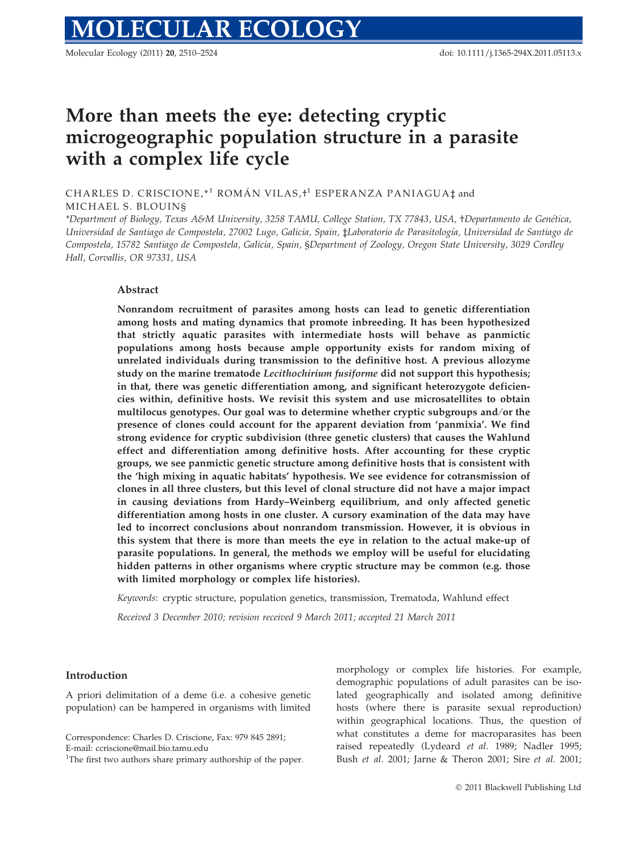Molecular Ecology (2011) 20, 2510–2524 doi: 10.1111/j.1365-294X.2011.05113.x

# More than meets the eye: detecting cryptic microgeographic population structure in a parasite with a complex life cycle

CHARLES D. CRISCIONE,\*<sup>1</sup> ROMÁN VILAS,<sup>+1</sup> ESPERANZA PANIAGUA‡ and MICHAEL S. BLOUIN§

\*Department of Biology, Texas A&M University, 3258 TAMU, College Station, TX 77843, USA, +Departamento de Genética, Universidad de Santiago de Compostela, 27002 Lugo, Galicia, Spain, ‡Laboratorio de Parasitología, Universidad de Santiago de Compostela, 15782 Santiago de Compostela, Galicia, Spain, §Department of Zoology, Oregon State University, 3029 Cordley Hall, Corvallis, OR 97331, USA

# Abstract

Nonrandom recruitment of parasites among hosts can lead to genetic differentiation among hosts and mating dynamics that promote inbreeding. It has been hypothesized that strictly aquatic parasites with intermediate hosts will behave as panmictic populations among hosts because ample opportunity exists for random mixing of unrelated individuals during transmission to the definitive host. A previous allozyme study on the marine trematode Lecithochirium fusiforme did not support this hypothesis; in that, there was genetic differentiation among, and significant heterozygote deficiencies within, definitive hosts. We revisit this system and use microsatellites to obtain multilocus genotypes. Our goal was to determine whether cryptic subgroups and/or the presence of clones could account for the apparent deviation from 'panmixia'. We find strong evidence for cryptic subdivision (three genetic clusters) that causes the Wahlund effect and differentiation among definitive hosts. After accounting for these cryptic groups, we see panmictic genetic structure among definitive hosts that is consistent with the 'high mixing in aquatic habitats' hypothesis. We see evidence for cotransmission of clones in all three clusters, but this level of clonal structure did not have a major impact in causing deviations from Hardy–Weinberg equilibrium, and only affected genetic differentiation among hosts in one cluster. A cursory examination of the data may have led to incorrect conclusions about nonrandom transmission. However, it is obvious in this system that there is more than meets the eye in relation to the actual make-up of parasite populations. In general, the methods we employ will be useful for elucidating hidden patterns in other organisms where cryptic structure may be common (e.g. those with limited morphology or complex life histories).

Keywords: cryptic structure, population genetics, transmission, Trematoda, Wahlund effect Received 3 December 2010; revision received 9 March 2011; accepted 21 March 2011

#### Introduction

A priori delimitation of a deme (i.e. a cohesive genetic population) can be hampered in organisms with limited

morphology or complex life histories. For example, demographic populations of adult parasites can be isolated geographically and isolated among definitive hosts (where there is parasite sexual reproduction) within geographical locations. Thus, the question of what constitutes a deme for macroparasites has been raised repeatedly (Lydeard et al. 1989; Nadler 1995; Bush et al. 2001; Jarne & Theron 2001; Sire et al. 2001;

Correspondence: Charles D. Criscione, Fax: 979 845 2891;

E-mail: ccriscione@mail.bio.tamu.edu

<sup>&</sup>lt;sup>1</sup>The first two authors share primary authorship of the paper.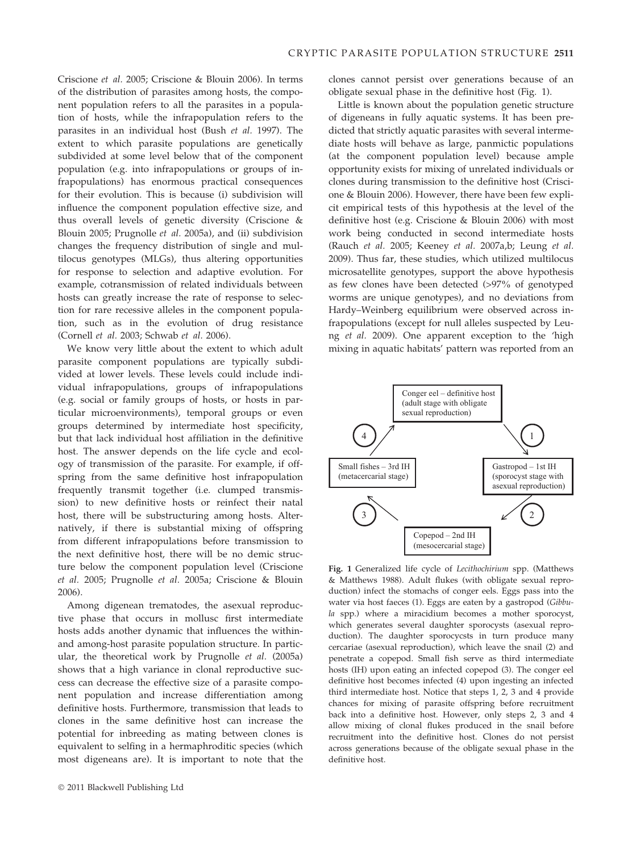Criscione et al. 2005; Criscione & Blouin 2006). In terms of the distribution of parasites among hosts, the component population refers to all the parasites in a population of hosts, while the infrapopulation refers to the parasites in an individual host (Bush et al. 1997). The extent to which parasite populations are genetically subdivided at some level below that of the component population (e.g. into infrapopulations or groups of infrapopulations) has enormous practical consequences for their evolution. This is because (i) subdivision will influence the component population effective size, and thus overall levels of genetic diversity (Criscione & Blouin 2005; Prugnolle et al. 2005a), and (ii) subdivision changes the frequency distribution of single and multilocus genotypes (MLGs), thus altering opportunities for response to selection and adaptive evolution. For example, cotransmission of related individuals between hosts can greatly increase the rate of response to selection for rare recessive alleles in the component population, such as in the evolution of drug resistance (Cornell et al. 2003; Schwab et al. 2006).

We know very little about the extent to which adult parasite component populations are typically subdivided at lower levels. These levels could include individual infrapopulations, groups of infrapopulations (e.g. social or family groups of hosts, or hosts in particular microenvironments), temporal groups or even groups determined by intermediate host specificity, but that lack individual host affiliation in the definitive host. The answer depends on the life cycle and ecology of transmission of the parasite. For example, if offspring from the same definitive host infrapopulation frequently transmit together (i.e. clumped transmission) to new definitive hosts or reinfect their natal host, there will be substructuring among hosts. Alternatively, if there is substantial mixing of offspring from different infrapopulations before transmission to the next definitive host, there will be no demic structure below the component population level (Criscione et al. 2005; Prugnolle et al. 2005a; Criscione & Blouin 2006).

Among digenean trematodes, the asexual reproductive phase that occurs in mollusc first intermediate hosts adds another dynamic that influences the withinand among-host parasite population structure. In particular, the theoretical work by Prugnolle et al. (2005a) shows that a high variance in clonal reproductive success can decrease the effective size of a parasite component population and increase differentiation among definitive hosts. Furthermore, transmission that leads to clones in the same definitive host can increase the potential for inbreeding as mating between clones is equivalent to selfing in a hermaphroditic species (which most digeneans are). It is important to note that the clones cannot persist over generations because of an obligate sexual phase in the definitive host (Fig. 1).

Little is known about the population genetic structure of digeneans in fully aquatic systems. It has been predicted that strictly aquatic parasites with several intermediate hosts will behave as large, panmictic populations (at the component population level) because ample opportunity exists for mixing of unrelated individuals or clones during transmission to the definitive host (Criscione & Blouin 2006). However, there have been few explicit empirical tests of this hypothesis at the level of the definitive host (e.g. Criscione & Blouin 2006) with most work being conducted in second intermediate hosts (Rauch et al. 2005; Keeney et al. 2007a,b; Leung et al. 2009). Thus far, these studies, which utilized multilocus microsatellite genotypes, support the above hypothesis as few clones have been detected (>97% of genotyped worms are unique genotypes), and no deviations from Hardy–Weinberg equilibrium were observed across infrapopulations (except for null alleles suspected by Leung et al. 2009). One apparent exception to the 'high mixing in aquatic habitats' pattern was reported from an



Fig. 1 Generalized life cycle of Lecithochirium spp. (Matthews & Matthews 1988). Adult flukes (with obligate sexual reproduction) infect the stomachs of conger eels. Eggs pass into the water via host faeces (1). Eggs are eaten by a gastropod (Gibbula spp.) where a miracidium becomes a mother sporocyst, which generates several daughter sporocysts (asexual reproduction). The daughter sporocycsts in turn produce many cercariae (asexual reproduction), which leave the snail (2) and penetrate a copepod. Small fish serve as third intermediate hosts (IH) upon eating an infected copepod (3). The conger eel definitive host becomes infected (4) upon ingesting an infected third intermediate host. Notice that steps 1, 2, 3 and 4 provide chances for mixing of parasite offspring before recruitment back into a definitive host. However, only steps 2, 3 and 4 allow mixing of clonal flukes produced in the snail before recruitment into the definitive host. Clones do not persist across generations because of the obligate sexual phase in the definitive host.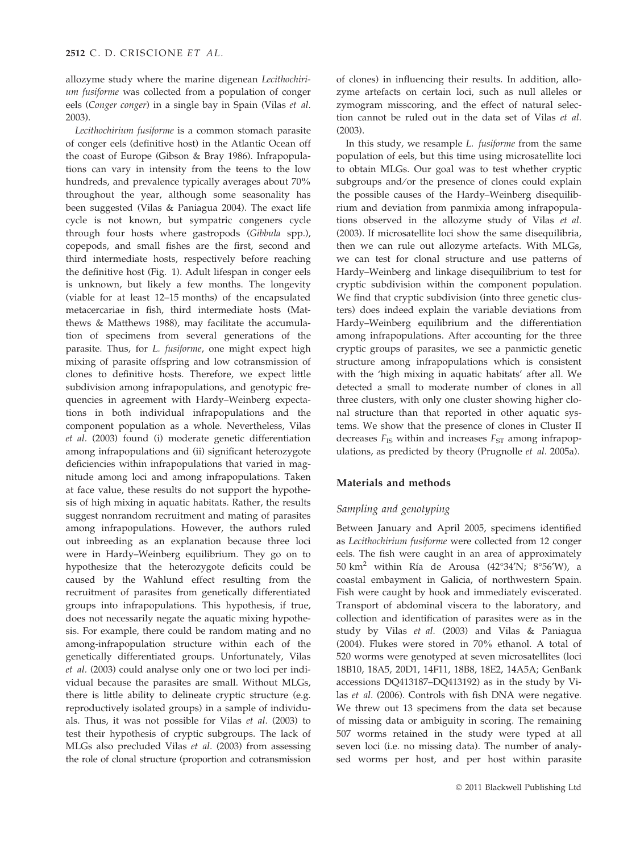allozyme study where the marine digenean Lecithochirium fusiforme was collected from a population of conger eels (Conger conger) in a single bay in Spain (Vilas et al. 2003).

Lecithochirium fusiforme is a common stomach parasite of conger eels (definitive host) in the Atlantic Ocean off the coast of Europe (Gibson & Bray 1986). Infrapopulations can vary in intensity from the teens to the low hundreds, and prevalence typically averages about 70% throughout the year, although some seasonality has been suggested (Vilas & Paniagua 2004). The exact life cycle is not known, but sympatric congeners cycle through four hosts where gastropods (Gibbula spp.), copepods, and small fishes are the first, second and third intermediate hosts, respectively before reaching the definitive host (Fig. 1). Adult lifespan in conger eels is unknown, but likely a few months. The longevity (viable for at least 12–15 months) of the encapsulated metacercariae in fish, third intermediate hosts (Matthews & Matthews 1988), may facilitate the accumulation of specimens from several generations of the parasite. Thus, for L. fusiforme, one might expect high mixing of parasite offspring and low cotransmission of clones to definitive hosts. Therefore, we expect little subdivision among infrapopulations, and genotypic frequencies in agreement with Hardy–Weinberg expectations in both individual infrapopulations and the component population as a whole. Nevertheless, Vilas et al. (2003) found (i) moderate genetic differentiation among infrapopulations and (ii) significant heterozygote deficiencies within infrapopulations that varied in magnitude among loci and among infrapopulations. Taken at face value, these results do not support the hypothesis of high mixing in aquatic habitats. Rather, the results suggest nonrandom recruitment and mating of parasites among infrapopulations. However, the authors ruled out inbreeding as an explanation because three loci were in Hardy–Weinberg equilibrium. They go on to hypothesize that the heterozygote deficits could be caused by the Wahlund effect resulting from the recruitment of parasites from genetically differentiated groups into infrapopulations. This hypothesis, if true, does not necessarily negate the aquatic mixing hypothesis. For example, there could be random mating and no among-infrapopulation structure within each of the genetically differentiated groups. Unfortunately, Vilas et al. (2003) could analyse only one or two loci per individual because the parasites are small. Without MLGs, there is little ability to delineate cryptic structure (e.g. reproductively isolated groups) in a sample of individuals. Thus, it was not possible for Vilas et al. (2003) to test their hypothesis of cryptic subgroups. The lack of MLGs also precluded Vilas et al. (2003) from assessing the role of clonal structure (proportion and cotransmission

of clones) in influencing their results. In addition, allozyme artefacts on certain loci, such as null alleles or zymogram misscoring, and the effect of natural selection cannot be ruled out in the data set of Vilas et al. (2003).

In this study, we resample L. fusiforme from the same population of eels, but this time using microsatellite loci to obtain MLGs. Our goal was to test whether cryptic subgroups and/or the presence of clones could explain the possible causes of the Hardy–Weinberg disequilibrium and deviation from panmixia among infrapopulations observed in the allozyme study of Vilas et al. (2003). If microsatellite loci show the same disequilibria, then we can rule out allozyme artefacts. With MLGs, we can test for clonal structure and use patterns of Hardy–Weinberg and linkage disequilibrium to test for cryptic subdivision within the component population. We find that cryptic subdivision (into three genetic clusters) does indeed explain the variable deviations from Hardy–Weinberg equilibrium and the differentiation among infrapopulations. After accounting for the three cryptic groups of parasites, we see a panmictic genetic structure among infrapopulations which is consistent with the 'high mixing in aquatic habitats' after all. We detected a small to moderate number of clones in all three clusters, with only one cluster showing higher clonal structure than that reported in other aquatic systems. We show that the presence of clones in Cluster II decreases  $F_{\text{IS}}$  within and increases  $F_{\text{ST}}$  among infrapopulations, as predicted by theory (Prugnolle et al. 2005a).

# Materials and methods

## Sampling and genotyping

Between January and April 2005, specimens identified as Lecithochirium fusiforme were collected from 12 conger eels. The fish were caught in an area of approximately 50 km<sup>2</sup> within Ría de Arousa (42°34'N; 8°56'W), a coastal embayment in Galicia, of northwestern Spain. Fish were caught by hook and immediately eviscerated. Transport of abdominal viscera to the laboratory, and collection and identification of parasites were as in the study by Vilas et al. (2003) and Vilas & Paniagua (2004). Flukes were stored in 70% ethanol. A total of 520 worms were genotyped at seven microsatellites (loci 18B10, 18A5, 20D1, 14F11, 18B8, 18E2, 14A5A; GenBank accessions DQ413187–DQ413192) as in the study by Vilas et al. (2006). Controls with fish DNA were negative. We threw out 13 specimens from the data set because of missing data or ambiguity in scoring. The remaining 507 worms retained in the study were typed at all seven loci (i.e. no missing data). The number of analysed worms per host, and per host within parasite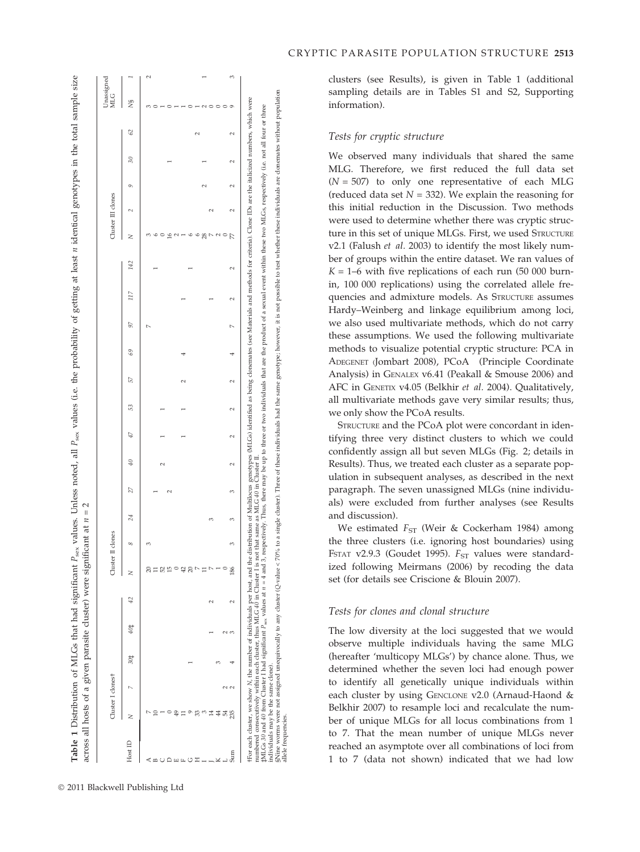**Table 1** Distribution of MLGs that had significant  $P_{\text{sex}}$  values. Unless noted, all  $P_{\text{sex}}$  values (i.e. the probability of getting at least n identical genotypes in the total sample size  $P_{\rm sex}$  values (i.e. the probability of getting at least n identical genotypes in the total sample size  $P_{\rm sex}$  values. Unless noted, all across all hosts of a given parasite cluster) were significant at  $n = 2$ across all hosts of a given parasite cluster) were significant at  $n = 2$ Distribution of MLGs that had significant

|                                                                                                                                                                                                                                                                                                                                                                                                                                                                                                                                                                                                                                                                                                                                                                                                                                                                      |     | Cluster I clonest |               |    |        | Cluster       | II clones |    |    |   |    |   |    |    |    |     |     |    | Cluster III dones |   |    | Unassigned<br><b>MLG</b> |  |
|----------------------------------------------------------------------------------------------------------------------------------------------------------------------------------------------------------------------------------------------------------------------------------------------------------------------------------------------------------------------------------------------------------------------------------------------------------------------------------------------------------------------------------------------------------------------------------------------------------------------------------------------------------------------------------------------------------------------------------------------------------------------------------------------------------------------------------------------------------------------|-----|-------------------|---------------|----|--------|---------------|-----------|----|----|---|----|---|----|----|----|-----|-----|----|-------------------|---|----|--------------------------|--|
| Host ID                                                                                                                                                                                                                                                                                                                                                                                                                                                                                                                                                                                                                                                                                                                                                                                                                                                              |     |                   | $rac{1}{201}$ | 40 | 42     | $\simeq$      |           | 24 | 27 | ₽ | 47 | S | 57 | 69 | 97 | 117 | 142 | z  |                   | B | 62 | Χğ                       |  |
|                                                                                                                                                                                                                                                                                                                                                                                                                                                                                                                                                                                                                                                                                                                                                                                                                                                                      |     |                   |               |    |        |               |           |    |    |   |    |   |    |    |    |     |     |    |                   |   |    |                          |  |
|                                                                                                                                                                                                                                                                                                                                                                                                                                                                                                                                                                                                                                                                                                                                                                                                                                                                      |     |                   |               |    |        | 255           |           |    |    |   |    |   |    |    |    |     |     |    |                   |   |    |                          |  |
|                                                                                                                                                                                                                                                                                                                                                                                                                                                                                                                                                                                                                                                                                                                                                                                                                                                                      |     |                   |               |    |        | đ<br>$\Omega$ |           |    |    |   |    |   |    |    |    |     |     |    |                   |   |    |                          |  |
|                                                                                                                                                                                                                                                                                                                                                                                                                                                                                                                                                                                                                                                                                                                                                                                                                                                                      | 33  |                   |               |    |        |               |           |    |    |   |    |   |    |    |    |     |     |    |                   |   |    |                          |  |
|                                                                                                                                                                                                                                                                                                                                                                                                                                                                                                                                                                                                                                                                                                                                                                                                                                                                      |     |                   |               |    |        |               |           | m  |    |   |    |   |    |    |    |     |     | 28 |                   |   |    |                          |  |
|                                                                                                                                                                                                                                                                                                                                                                                                                                                                                                                                                                                                                                                                                                                                                                                                                                                                      | 话   |                   | m             | 4  |        |               |           |    |    |   |    |   |    |    |    |     |     |    |                   |   |    |                          |  |
| Sum                                                                                                                                                                                                                                                                                                                                                                                                                                                                                                                                                                                                                                                                                                                                                                                                                                                                  | 235 | $\sim$            |               | œ  | $\sim$ | 186           | S         | Ċ. | S  |   |    |   |    |    |    |     | 2   | N  |                   |   |    |                          |  |
| §Nine worms were not assigned unequivocally to any cluster (Q-value < 70% to a single cluster). Three of these individuals had the same genotype; however, it is not possible to test whether these individuals are clonemates<br>For each cluster, we show N, the number of individuals per host, and the distribution of Multilocus genotypes (MLGs) identified as being clonerates (see Materials and methods for criteria). Clone IDs are the italicized num<br>IMLGs 30 and 40 from Cluster I had significant P <sub>eex</sub> values at $n = 4$ and 3, respectively. Thus, there may be up to three or two individuals that are the product of a sexual event within these two MLGs, respectively (i.e.<br>numbered consecutively within each cluster, thus MLG 40 in Cluster I is not that same as MLG 40 in Cluster II<br>individuals may be the same clone) |     |                   |               |    |        |               |           |    |    |   |    |   |    |    |    |     |     |    |                   |   |    |                          |  |
| allele frequencies.                                                                                                                                                                                                                                                                                                                                                                                                                                                                                                                                                                                                                                                                                                                                                                                                                                                  |     |                   |               |    |        |               |           |    |    |   |    |   |    |    |    |     |     |    |                   |   |    |                          |  |

CRYPTIC PARASITE POPULATION STRUCTURE 2513

clusters (see Results), is given in Table 1 (additional sampling details are in Tables S1 and S2, Supporting information).

#### Tests for cryptic structure

We observed many individuals that shared the same MLG. Therefore, we first reduced the full data set  $(N = 507)$  to only one representative of each MLG (reduced data set  $N = 332$ ). We explain the reasoning for this initial reduction in the Discussion. Two methods were used to determine whether there was cryptic structure in this set of unique MLGs. First, we used STRUCTURE v2.1 (Falush et al. 2003) to identify the most likely number of groups within the entire dataset. We ran values of  $K = 1-6$  with five replications of each run (50 000 burnin, 100 000 replications) using the correlated allele frequencies and admixture models. As STRUCTURE assumes Hardy–Weinberg and linkage equilibrium among loci, we also used multivariate methods, which do not carry these assumptions. We used the following multivariate methods to visualize potential cryptic structure: PCA in ADEGENET (Jombart 2008), PCoA (Principle Coordinate Analysis) in GENALEX v6.41 (Peakall & Smouse 2006) and AFC in GENETIX v4.05 (Belkhir et al. 2004). Qualitatively, all multivariate methods gave very similar results; thus, we only show the PCoA results.

STRUCTURE and the PCoA plot were concordant in identifying three very distinct clusters to which we could confidently assign all but seven MLGs (Fig. 2; details in Results). Thus, we treated each cluster as a separate population in subsequent analyses, as described in the next paragraph. The seven unassigned MLGs (nine individuals) were excluded from further analyses (see Results and discussion).

We estimated  $F_{ST}$  (Weir & Cockerham 1984) among the three clusters (i.e. ignoring host boundaries) using FSTAT v2.9.3 (Goudet 1995).  $F_{ST}$  values were standardized following Meirmans (2006) by recoding the data set (for details see Criscione & Blouin 2007).

# Tests for clones and clonal structure

The low diversity at the loci suggested that we would observe multiple individuals having the same MLG (hereafter 'multicopy MLGs') by chance alone. Thus, we determined whether the seven loci had enough power to identify all genetically unique individuals within each cluster by using GENCLONE v2.0 (Arnaud-Haond & Belkhir 2007) to resample loci and recalculate the number of unique MLGs for all locus combinations from 1 to 7. That the mean number of unique MLGs never reached an asymptote over all combinations of loci from 1 to 7 (data not shown) indicated that we had low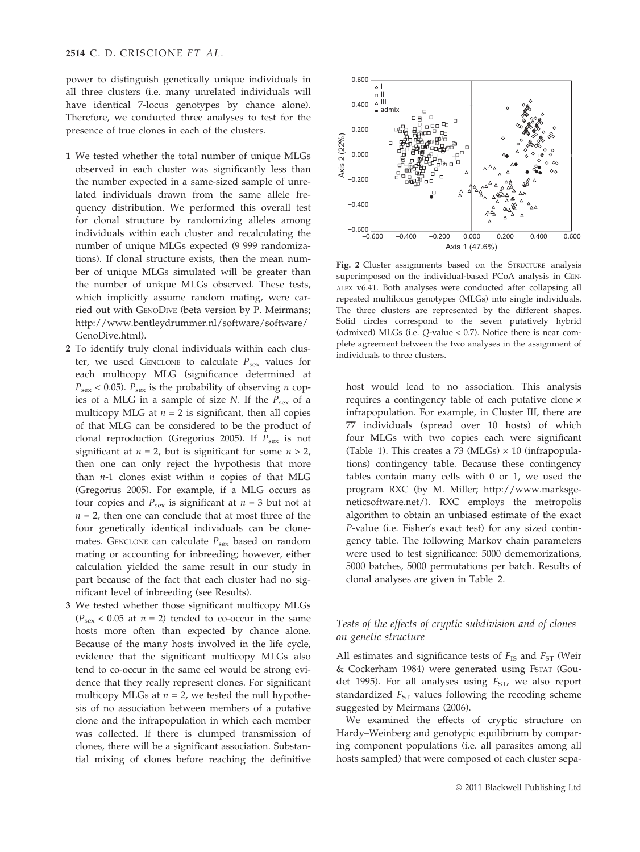## 2514 C. D. CRISCIONE ET AL.

power to distinguish genetically unique individuals in all three clusters (i.e. many unrelated individuals will have identical 7-locus genotypes by chance alone). Therefore, we conducted three analyses to test for the presence of true clones in each of the clusters.

- 1 We tested whether the total number of unique MLGs observed in each cluster was significantly less than the number expected in a same-sized sample of unrelated individuals drawn from the same allele frequency distribution. We performed this overall test for clonal structure by randomizing alleles among individuals within each cluster and recalculating the number of unique MLGs expected (9 999 randomizations). If clonal structure exists, then the mean number of unique MLGs simulated will be greater than the number of unique MLGs observed. These tests, which implicitly assume random mating, were carried out with GENODIVE (beta version by P. Meirmans; http://www.bentleydrummer.nl/software/software/ GenoDive.html).
- 2 To identify truly clonal individuals within each cluster, we used GENCLONE to calculate  $P_{\text{sex}}$  values for each multicopy MLG (significance determined at  $P_{\text{sex}}$  < 0.05).  $P_{\text{sex}}$  is the probability of observing *n* copies of a MLG in a sample of size N. If the  $P_{\text{sex}}$  of a multicopy MLG at  $n = 2$  is significant, then all copies of that MLG can be considered to be the product of clonal reproduction (Gregorius 2005). If  $P_{\text{sex}}$  is not significant at  $n = 2$ , but is significant for some  $n > 2$ , then one can only reject the hypothesis that more than  $n-1$  clones exist within  $n$  copies of that MLG (Gregorius 2005). For example, if a MLG occurs as four copies and  $P_{\text{sex}}$  is significant at  $n = 3$  but not at  $n = 2$ , then one can conclude that at most three of the four genetically identical individuals can be clonemates. GENCLONE can calculate  $P_{\text{sex}}$  based on random mating or accounting for inbreeding; however, either calculation yielded the same result in our study in part because of the fact that each cluster had no significant level of inbreeding (see Results).
- 3 We tested whether those significant multicopy MLGs  $(P_{\text{sex}} < 0.05$  at  $n = 2)$  tended to co-occur in the same hosts more often than expected by chance alone. Because of the many hosts involved in the life cycle, evidence that the significant multicopy MLGs also tend to co-occur in the same eel would be strong evidence that they really represent clones. For significant multicopy MLGs at  $n = 2$ , we tested the null hypothesis of no association between members of a putative clone and the infrapopulation in which each member was collected. If there is clumped transmission of clones, there will be a significant association. Substantial mixing of clones before reaching the definitive



Fig. 2 Cluster assignments based on the STRUCTURE analysis superimposed on the individual-based PCoA analysis in GEN-ALEX v6.41. Both analyses were conducted after collapsing all repeated multilocus genotypes (MLGs) into single individuals. The three clusters are represented by the different shapes. Solid circles correspond to the seven putatively hybrid (admixed) MLGs (i.e. Q-value < 0.7). Notice there is near complete agreement between the two analyses in the assignment of individuals to three clusters.

host would lead to no association. This analysis requires a contingency table of each putative clone  $\times$ infrapopulation. For example, in Cluster III, there are 77 individuals (spread over 10 hosts) of which four MLGs with two copies each were significant (Table 1). This creates a 73 (MLGs)  $\times$  10 (infrapopulations) contingency table. Because these contingency tables contain many cells with 0 or 1, we used the program RXC (by M. Miller; http://www.marksgeneticsoftware.net/). RXC employs the metropolis algorithm to obtain an unbiased estimate of the exact P-value (i.e. Fisher's exact test) for any sized contingency table. The following Markov chain parameters were used to test significance: 5000 dememorizations, 5000 batches, 5000 permutations per batch. Results of clonal analyses are given in Table 2.

# Tests of the effects of cryptic subdivision and of clones on genetic structure

All estimates and significance tests of  $F_{IS}$  and  $F_{ST}$  (Weir & Cockerham 1984) were generated using FSTAT (Goudet 1995). For all analyses using  $F_{ST}$ , we also report standardized  $F_{ST}$  values following the recoding scheme suggested by Meirmans (2006).

We examined the effects of cryptic structure on Hardy–Weinberg and genotypic equilibrium by comparing component populations (i.e. all parasites among all hosts sampled) that were composed of each cluster sepa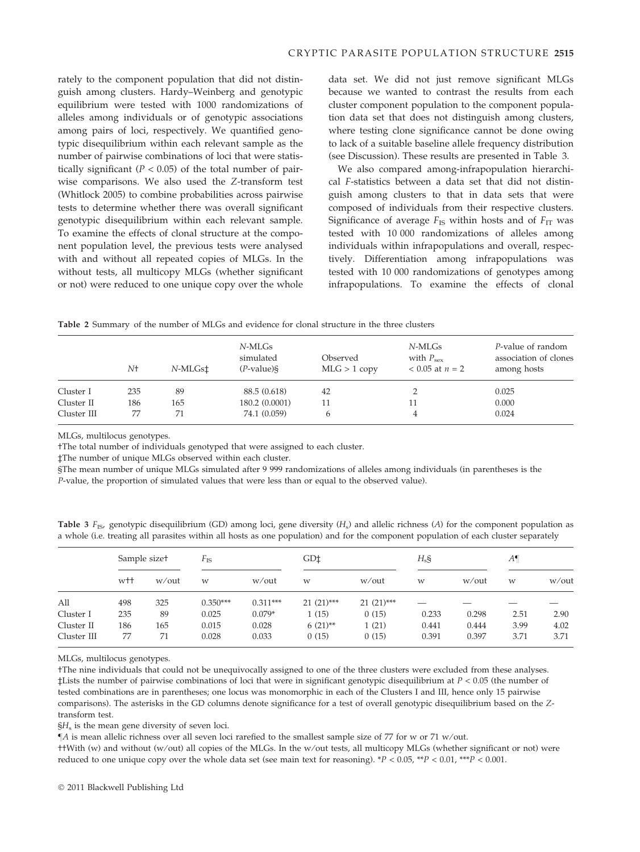rately to the component population that did not distinguish among clusters. Hardy–Weinberg and genotypic equilibrium were tested with 1000 randomizations of alleles among individuals or of genotypic associations among pairs of loci, respectively. We quantified genotypic disequilibrium within each relevant sample as the number of pairwise combinations of loci that were statistically significant ( $P < 0.05$ ) of the total number of pairwise comparisons. We also used the Z-transform test (Whitlock 2005) to combine probabilities across pairwise tests to determine whether there was overall significant genotypic disequilibrium within each relevant sample. To examine the effects of clonal structure at the component population level, the previous tests were analysed with and without all repeated copies of MLGs. In the without tests, all multicopy MLGs (whether significant or not) were reduced to one unique copy over the whole data set. We did not just remove significant MLGs because we wanted to contrast the results from each cluster component population to the component population data set that does not distinguish among clusters, where testing clone significance cannot be done owing to lack of a suitable baseline allele frequency distribution (see Discussion). These results are presented in Table 3.

We also compared among-infrapopulation hierarchical F-statistics between a data set that did not distinguish among clusters to that in data sets that were composed of individuals from their respective clusters. Significance of average  $F_{\text{IS}}$  within hosts and of  $F_{\text{IT}}$  was tested with 10 000 randomizations of alleles among individuals within infrapopulations and overall, respectively. Differentiation among infrapopulations was tested with 10 000 randomizations of genotypes among infrapopulations. To examine the effects of clonal

Table 2 Summary of the number of MLGs and evidence for clonal structure in the three clusters

|             | N <sup>+</sup> | N-MLGst | $N-MLGs$<br>simulated<br>$(P-value)$ § | Observed<br>$MLG > 1$ copy | $N-MLGs$<br>with $P_{\rm sev}$<br>$< 0.05$ at $n = 2$ | P-value of random<br>association of clones<br>among hosts |
|-------------|----------------|---------|----------------------------------------|----------------------------|-------------------------------------------------------|-----------------------------------------------------------|
| Cluster I   | 235            | 89      | 88.5 (0.618)                           | 42                         |                                                       | 0.025                                                     |
| Cluster II  | 186            | 165     | 180.2 (0.0001)                         |                            | 11                                                    | 0.000                                                     |
| Cluster III | 77             | 71      | 74.1 (0.059)                           |                            |                                                       | 0.024                                                     |

MLGs, multilocus genotypes.

†The total number of individuals genotyped that were assigned to each cluster.

‡The number of unique MLGs observed within each cluster.

§The mean number of unique MLGs simulated after 9 999 randomizations of alleles among individuals (in parentheses is the P-value, the proportion of simulated values that were less than or equal to the observed value).

**Table 3**  $F_{15}$ , genotypic disequilibrium (GD) among loci, gene diversity ( $H_s$ ) and allelic richness (A) for the component population as a whole (i.e. treating all parasites within all hosts as one population) and for the component population of each cluster separately

|             | Sample sizet |       | $F_{\rm IS}$ |            | GD <sup>+</sup> |              | $Hs$ \$ |       | $A\P$ |       |
|-------------|--------------|-------|--------------|------------|-----------------|--------------|---------|-------|-------|-------|
|             | wtt          | w/out | W            | w/out      | W               | w/out        | W       | w/out | W     | w/out |
| All         | 498          | 325   | $0.350***$   | $0.311***$ | $21(21)$ ***    | $21(21)$ *** |         |       |       |       |
| Cluster I   | 235          | 89    | 0.025        | $0.079*$   | (15)            | 0(15)        | 0.233   | 0.298 | 2.51  | 2.90  |
| Cluster II  | 186          | 165   | 0.015        | 0.028      | $6(21)$ **      | 1(21)        | 0.441   | 0.444 | 3.99  | 4.02  |
| Cluster III | 77           | 71    | 0.028        | 0.033      | 0(15)           | 0(15)        | 0.391   | 0.397 | 3.71  | 3.71  |

MLGs, multilocus genotypes.

†The nine individuals that could not be unequivocally assigned to one of the three clusters were excluded from these analyses.  $\ddagger$ Lists the number of pairwise combinations of loci that were in significant genotypic disequilibrium at  $P < 0.05$  (the number of tested combinations are in parentheses; one locus was monomorphic in each of the Clusters I and III, hence only 15 pairwise comparisons). The asterisks in the GD columns denote significance for a test of overall genotypic disequilibrium based on the Ztransform test.

 $$H<sub>s</sub>$  is the mean gene diversity of seven loci.

 $\P$ A is mean allelic richness over all seven loci rarefied to the smallest sample size of 77 for w or 71 w/out.

††With (w) and without (w ⁄ out) all copies of the MLGs. In the w ⁄ out tests, all multicopy MLGs (whether significant or not) were reduced to one unique copy over the whole data set (see main text for reasoning).  $*P < 0.05$ ,  $*P < 0.01$ ,  $**P < 0.001$ .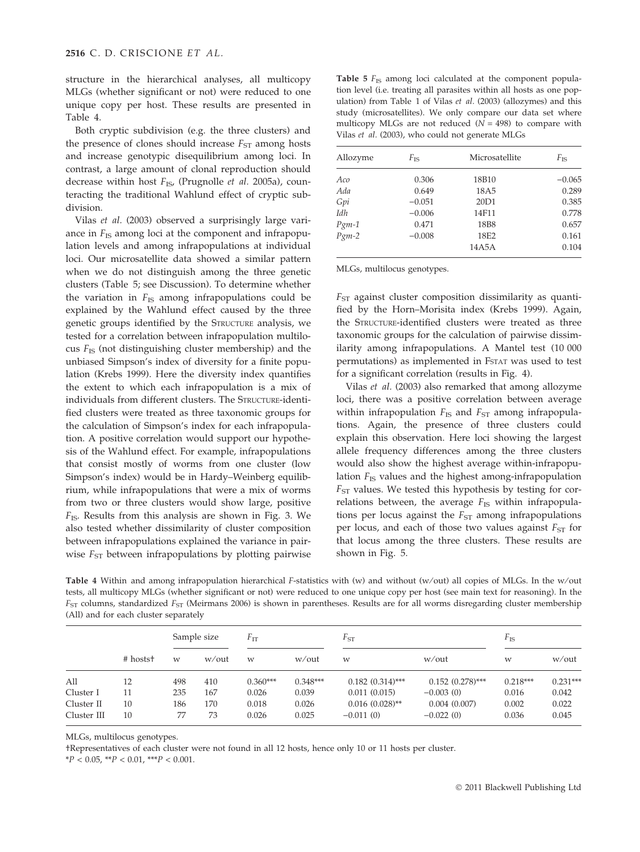structure in the hierarchical analyses, all multicopy MLGs (whether significant or not) were reduced to one unique copy per host. These results are presented in Table 4.

Both cryptic subdivision (e.g. the three clusters) and the presence of clones should increase  $F_{ST}$  among hosts and increase genotypic disequilibrium among loci. In contrast, a large amount of clonal reproduction should decrease within host  $F_{IS}$ , (Prugnolle *et al.* 2005a), counteracting the traditional Wahlund effect of cryptic subdivision.

Vilas et al. (2003) observed a surprisingly large variance in  $F_{IS}$  among loci at the component and infrapopulation levels and among infrapopulations at individual loci. Our microsatellite data showed a similar pattern when we do not distinguish among the three genetic clusters (Table 5; see Discussion). To determine whether the variation in  $F_{\text{IS}}$  among infrapopulations could be explained by the Wahlund effect caused by the three genetic groups identified by the STRUCTURE analysis, we tested for a correlation between infrapopulation multilocus  $F_{\text{IS}}$  (not distinguishing cluster membership) and the unbiased Simpson's index of diversity for a finite population (Krebs 1999). Here the diversity index quantifies the extent to which each infrapopulation is a mix of individuals from different clusters. The STRUCTURE-identified clusters were treated as three taxonomic groups for the calculation of Simpson's index for each infrapopulation. A positive correlation would support our hypothesis of the Wahlund effect. For example, infrapopulations that consist mostly of worms from one cluster (low Simpson's index) would be in Hardy–Weinberg equilibrium, while infrapopulations that were a mix of worms from two or three clusters would show large, positive  $F_{IS}$ . Results from this analysis are shown in Fig. 3. We also tested whether dissimilarity of cluster composition between infrapopulations explained the variance in pairwise  $F_{ST}$  between infrapopulations by plotting pairwise

Table 5  $F_{IS}$  among loci calculated at the component population level (i.e. treating all parasites within all hosts as one population) from Table 1 of Vilas et al. (2003) (allozymes) and this study (microsatellites). We only compare our data set where multicopy MLGs are not reduced  $(N = 498)$  to compare with Vilas et al. (2003), who could not generate MLGs

| Allozyme | $F_{\rm IS}$ | Microsatellite   | $F_{\rm IS}$ |
|----------|--------------|------------------|--------------|
| Aco      | 0.306        | 18B10            | $-0.065$     |
| Ada      | 0.649        | 18A5             | 0.289        |
| Gpi      | $-0.051$     | 20 <sub>D1</sub> | 0.385        |
| Idh      | $-0.006$     | 14F11            | 0.778        |
| $Pgm-1$  | 0.471        | 18B8             | 0.657        |
| $Pgm-2$  | $-0.008$     | 18E2             | 0.161        |
|          |              | 14A5A            | 0.104        |

MLGs, multilocus genotypes.

 $F<sub>ST</sub>$  against cluster composition dissimilarity as quantified by the Horn–Morisita index (Krebs 1999). Again, the STRUCTURE-identified clusters were treated as three taxonomic groups for the calculation of pairwise dissimilarity among infrapopulations. A Mantel test (10 000 permutations) as implemented in FSTAT was used to test for a significant correlation (results in Fig. 4).

Vilas et al. (2003) also remarked that among allozyme loci, there was a positive correlation between average within infrapopulation  $F_{\text{IS}}$  and  $F_{\text{ST}}$  among infrapopulations. Again, the presence of three clusters could explain this observation. Here loci showing the largest allele frequency differences among the three clusters would also show the highest average within-infrapopulation  $F_{IS}$  values and the highest among-infrapopulation  $F<sub>ST</sub>$  values. We tested this hypothesis by testing for correlations between, the average  $F_{\text{IS}}$  within infrapopulations per locus against the  $F_{ST}$  among infrapopulations per locus, and each of those two values against  $F_{ST}$  for that locus among the three clusters. These results are shown in Fig. 5.

Table 4 Within and among infrapopulation hierarchical F-statistics with (w) and without (w/out) all copies of MLGs. In the w/out tests, all multicopy MLGs (whether significant or not) were reduced to one unique copy per host (see main text for reasoning). In the  $F_{ST}$  columns, standardized  $F_{ST}$  (Meirmans 2006) is shown in parentheses. Results are for all worms disregarding cluster membership (All) and for each cluster separately

|             |          |     | Sample size | $F_{\text{IT}}$ |            | $F_{ST}$             |                    | $F_{\rm IS}$ |            |
|-------------|----------|-----|-------------|-----------------|------------|----------------------|--------------------|--------------|------------|
|             | # hostst | W   | w/out       | W               | w/out      | W                    | w/out              | W            | w/out      |
| All         | 12       | 498 | 410         | $0.360***$      | $0.348***$ | $0.182(0.314)$ ***   | $0.152(0.278)$ *** | $0.218***$   | $0.231***$ |
| Cluster I   | 11       | 235 | 167         | 0.026           | 0.039      | 0.011(0.015)         | $-0.003(0)$        | 0.016        | 0.042      |
| Cluster II  | 10       | 186 | 170         | 0.018           | 0.026      | $0.016$ $(0.028)$ ** | 0.004(0.007)       | 0.002        | 0.022      |
| Cluster III | 10       | 77  | 73          | 0.026           | 0.025      | $-0.011(0)$          | $-0.022(0)$        | 0.036        | 0.045      |

MLGs, multilocus genotypes.

†Representatives of each cluster were not found in all 12 hosts, hence only 10 or 11 hosts per cluster.

 $*P < 0.05, **P < 0.01, **P < 0.001.$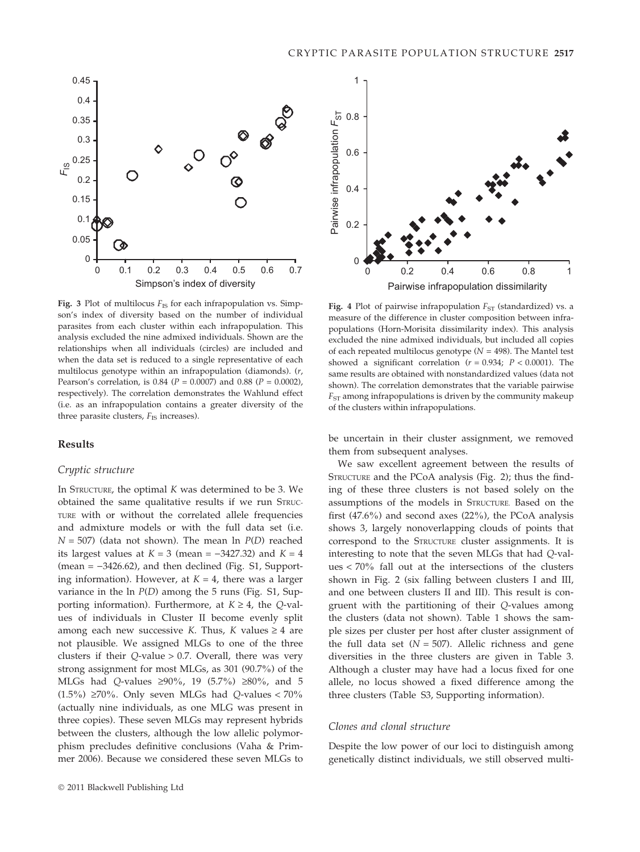

Fig. 3 Plot of multilocus  $F_{1S}$  for each infrapopulation vs. Simpson's index of diversity based on the number of individual parasites from each cluster within each infrapopulation. This analysis excluded the nine admixed individuals. Shown are the relationships when all individuals (circles) are included and when the data set is reduced to a single representative of each multilocus genotype within an infrapopulation (diamonds). (r, Pearson's correlation, is 0.84 ( $P = 0.0007$ ) and 0.88 ( $P = 0.0002$ ), respectively). The correlation demonstrates the Wahlund effect (i.e. as an infrapopulation contains a greater diversity of the three parasite clusters,  $F_{IS}$  increases).

#### Results

#### Cryptic structure

In STRUCTURE, the optimal  $K$  was determined to be 3. We obtained the same qualitative results if we run STRUC-TURE with or without the correlated allele frequencies and admixture models or with the full data set (i.e.  $N = 507$ ) (data not shown). The mean ln  $P(D)$  reached its largest values at  $K = 3$  (mean = -3427.32) and  $K = 4$ (mean  $= -3426.62$ ), and then declined (Fig. S1, Supporting information). However, at  $K = 4$ , there was a larger variance in the  $ln P(D)$  among the 5 runs (Fig. S1, Supporting information). Furthermore, at  $K \geq 4$ , the Q-values of individuals in Cluster II become evenly split among each new successive K. Thus, K values  $\geq 4$  are not plausible. We assigned MLGs to one of the three clusters if their  $Q$ -value  $> 0.7$ . Overall, there was very strong assignment for most MLGs, as 301 (90.7%) of the MLGs had Q-values  $\ge 90\%$ , 19 (5.7%)  $\ge 80\%$ , and 5  $(1.5\%) \ge 70\%$ . Only seven MLGs had Q-values < 70% (actually nine individuals, as one MLG was present in three copies). These seven MLGs may represent hybrids between the clusters, although the low allelic polymorphism precludes definitive conclusions (Vaha & Primmer 2006). Because we considered these seven MLGs to



Fig. 4 Plot of pairwise infrapopulation  $F_{ST}$  (standardized) vs. a measure of the difference in cluster composition between infrapopulations (Horn-Morisita dissimilarity index). This analysis excluded the nine admixed individuals, but included all copies of each repeated multilocus genotype ( $N = 498$ ). The Mantel test showed a significant correlation ( $r = 0.934$ ;  $P < 0.0001$ ). The same results are obtained with nonstandardized values (data not shown). The correlation demonstrates that the variable pairwise  $F<sub>ST</sub>$  among infrapopulations is driven by the community makeup of the clusters within infrapopulations.

be uncertain in their cluster assignment, we removed them from subsequent analyses.

We saw excellent agreement between the results of STRUCTURE and the PCoA analysis (Fig. 2); thus the finding of these three clusters is not based solely on the assumptions of the models in STRUCTURE. Based on the first  $(47.6\%)$  and second axes  $(22\%)$ , the PCoA analysis shows 3, largely nonoverlapping clouds of points that correspond to the STRUCTURE cluster assignments. It is interesting to note that the seven MLGs that had Q-values < 70% fall out at the intersections of the clusters shown in Fig. 2 (six falling between clusters I and III, and one between clusters II and III). This result is congruent with the partitioning of their Q-values among the clusters (data not shown). Table 1 shows the sample sizes per cluster per host after cluster assignment of the full data set  $(N = 507)$ . Allelic richness and gene diversities in the three clusters are given in Table 3. Although a cluster may have had a locus fixed for one allele, no locus showed a fixed difference among the three clusters (Table S3, Supporting information).

#### Clones and clonal structure

Despite the low power of our loci to distinguish among genetically distinct individuals, we still observed multi-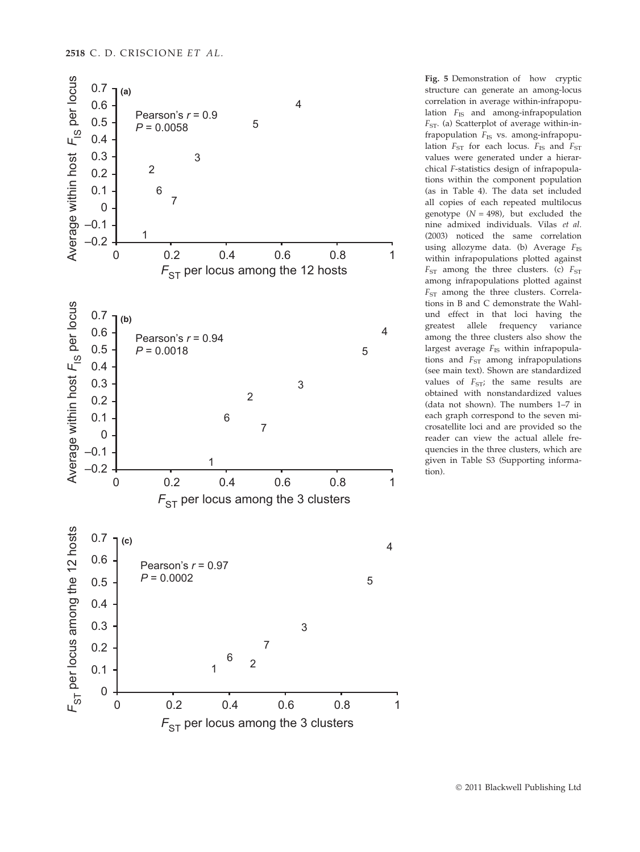

Fig. 5 Demonstration of how cryptic structure can generate an among-locus correlation in average within-infrapopulation  $F_{IS}$  and among-infrapopulation  $F_{ST}$ . (a) Scatterplot of average within-infrapopulation  $F_{IS}$  vs. among-infrapopulation  $F_{ST}$  for each locus.  $F_{IS}$  and  $F_{ST}$ values were generated under a hierarchical F-statistics design of infrapopulations within the component population (as in Table 4). The data set included all copies of each repeated multilocus genotype  $(N = 498)$ , but excluded the nine admixed individuals. Vilas et al. (2003) noticed the same correlation using allozyme data. (b) Average  $F_{\text{IS}}$ within infrapopulations plotted against  $F_{ST}$  among the three clusters. (c)  $F_{ST}$ among infrapopulations plotted against  $F_{ST}$  among the three clusters. Correlations in B and C demonstrate the Wahlund effect in that loci having the greatest allele frequency variance among the three clusters also show the largest average  $F_{IS}$  within infrapopulations and  $F_{ST}$  among infrapopulations (see main text). Shown are standardized values of  $F_{ST}$ ; the same results are obtained with nonstandardized values (data not shown). The numbers 1–7 in each graph correspond to the seven microsatellite loci and are provided so the reader can view the actual allele frequencies in the three clusters, which are given in Table S3 (Supporting information).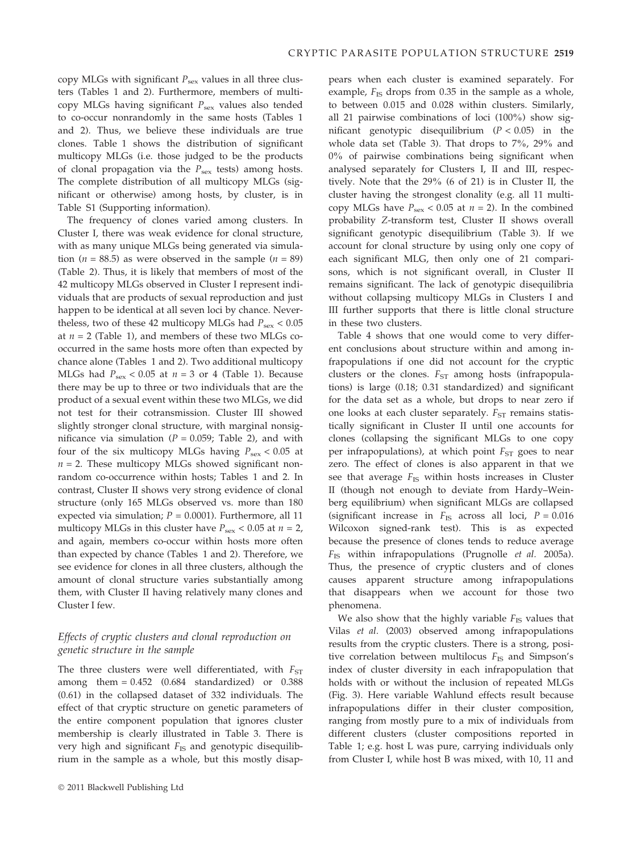copy MLGs with significant  $P_{\text{sex}}$  values in all three clusters (Tables 1 and 2). Furthermore, members of multicopy MLGs having significant  $P_{\text{sex}}$  values also tended to co-occur nonrandomly in the same hosts (Tables 1 and 2). Thus, we believe these individuals are true clones. Table 1 shows the distribution of significant multicopy MLGs (i.e. those judged to be the products of clonal propagation via the  $P_{\text{sex}}$  tests) among hosts. The complete distribution of all multicopy MLGs (significant or otherwise) among hosts, by cluster, is in Table S1 (Supporting information).

The frequency of clones varied among clusters. In Cluster I, there was weak evidence for clonal structure, with as many unique MLGs being generated via simulation ( $n = 88.5$ ) as were observed in the sample ( $n = 89$ ) (Table 2). Thus, it is likely that members of most of the 42 multicopy MLGs observed in Cluster I represent individuals that are products of sexual reproduction and just happen to be identical at all seven loci by chance. Nevertheless, two of these 42 multicopy MLGs had  $P_{\text{sex}} < 0.05$ at  $n = 2$  (Table 1), and members of these two MLGs cooccurred in the same hosts more often than expected by chance alone (Tables 1 and 2). Two additional multicopy MLGs had  $P_{\text{sex}}$  < 0.05 at  $n = 3$  or 4 (Table 1). Because there may be up to three or two individuals that are the product of a sexual event within these two MLGs, we did not test for their cotransmission. Cluster III showed slightly stronger clonal structure, with marginal nonsignificance via simulation ( $P = 0.059$ ; Table 2), and with four of the six multicopy MLGs having  $P_{\text{sex}} < 0.05$  at  $n = 2$ . These multicopy MLGs showed significant nonrandom co-occurrence within hosts; Tables 1 and 2. In contrast, Cluster II shows very strong evidence of clonal structure (only 165 MLGs observed vs. more than 180 expected via simulation;  $P = 0.0001$ ). Furthermore, all 11 multicopy MLGs in this cluster have  $P_{\text{sex}} < 0.05$  at  $n = 2$ , and again, members co-occur within hosts more often than expected by chance (Tables 1 and 2). Therefore, we see evidence for clones in all three clusters, although the amount of clonal structure varies substantially among them, with Cluster II having relatively many clones and Cluster I few.

# Effects of cryptic clusters and clonal reproduction on genetic structure in the sample

The three clusters were well differentiated, with  $F_{ST}$ among them = 0.452 (0.684 standardized) or 0.388 (0.61) in the collapsed dataset of 332 individuals. The effect of that cryptic structure on genetic parameters of the entire component population that ignores cluster membership is clearly illustrated in Table 3. There is very high and significant  $F_{\text{IS}}$  and genotypic disequilibrium in the sample as a whole, but this mostly disappears when each cluster is examined separately. For example,  $F_{IS}$  drops from 0.35 in the sample as a whole, to between 0.015 and 0.028 within clusters. Similarly, all 21 pairwise combinations of loci (100%) show significant genotypic disequilibrium  $(P < 0.05)$  in the whole data set (Table 3). That drops to 7%, 29% and 0% of pairwise combinations being significant when analysed separately for Clusters I, II and III, respectively. Note that the 29% (6 of 21) is in Cluster II, the cluster having the strongest clonality (e.g. all 11 multicopy MLGs have  $P_{\text{sex}}$  < 0.05 at  $n = 2$ ). In the combined probability Z-transform test, Cluster II shows overall significant genotypic disequilibrium (Table 3). If we account for clonal structure by using only one copy of each significant MLG, then only one of 21 comparisons, which is not significant overall, in Cluster II remains significant. The lack of genotypic disequilibria without collapsing multicopy MLGs in Clusters I and III further supports that there is little clonal structure in these two clusters.

Table 4 shows that one would come to very different conclusions about structure within and among infrapopulations if one did not account for the cryptic clusters or the clones.  $F_{ST}$  among hosts (infrapopulations) is large (0.18; 0.31 standardized) and significant for the data set as a whole, but drops to near zero if one looks at each cluster separately.  $F_{ST}$  remains statistically significant in Cluster II until one accounts for clones (collapsing the significant MLGs to one copy per infrapopulations), at which point  $F_{ST}$  goes to near zero. The effect of clones is also apparent in that we see that average  $F_{\text{IS}}$  within hosts increases in Cluster II (though not enough to deviate from Hardy–Weinberg equilibrium) when significant MLGs are collapsed (significant increase in  $F_{\text{IS}}$  across all loci,  $P = 0.016$ Wilcoxon signed-rank test). This is as expected because the presence of clones tends to reduce average  $F_{IS}$  within infrapopulations (Prugnolle et al. 2005a). Thus, the presence of cryptic clusters and of clones causes apparent structure among infrapopulations that disappears when we account for those two phenomena.

We also show that the highly variable  $F_{\text{IS}}$  values that Vilas et al. (2003) observed among infrapopulations results from the cryptic clusters. There is a strong, positive correlation between multilocus  $F_{IS}$  and Simpson's index of cluster diversity in each infrapopulation that holds with or without the inclusion of repeated MLGs (Fig. 3). Here variable Wahlund effects result because infrapopulations differ in their cluster composition, ranging from mostly pure to a mix of individuals from different clusters (cluster compositions reported in Table 1; e.g. host L was pure, carrying individuals only from Cluster I, while host B was mixed, with 10, 11 and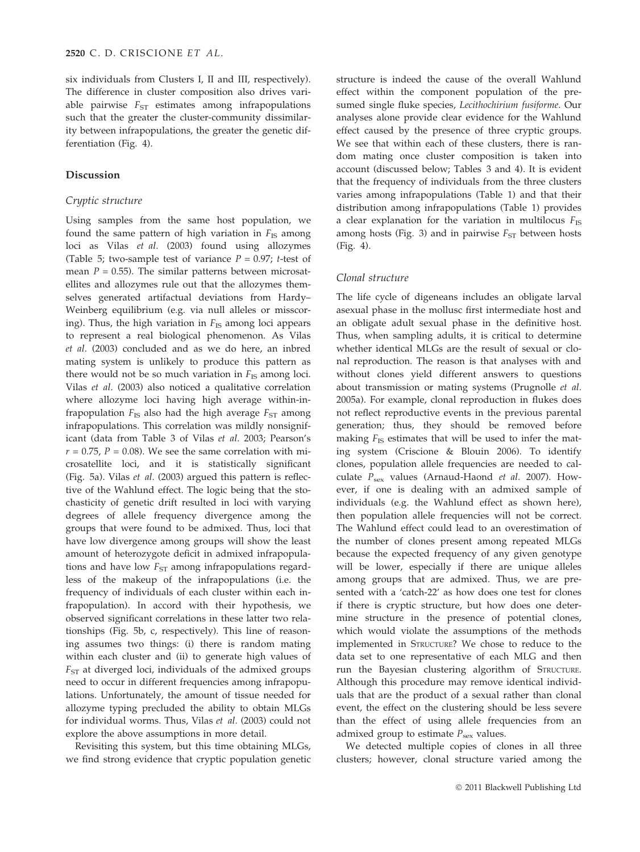six individuals from Clusters I, II and III, respectively). The difference in cluster composition also drives variable pairwise  $F_{ST}$  estimates among infrapopulations such that the greater the cluster-community dissimilarity between infrapopulations, the greater the genetic differentiation (Fig. 4).

# **Discussion**

#### Cryptic structure

Using samples from the same host population, we found the same pattern of high variation in  $F_{IS}$  among loci as Vilas et al. (2003) found using allozymes (Table 5; two-sample test of variance  $P = 0.97$ ; t-test of mean  $P = 0.55$ ). The similar patterns between microsatellites and allozymes rule out that the allozymes themselves generated artifactual deviations from Hardy– Weinberg equilibrium (e.g. via null alleles or misscoring). Thus, the high variation in  $F_{\text{IS}}$  among loci appears to represent a real biological phenomenon. As Vilas et al. (2003) concluded and as we do here, an inbred mating system is unlikely to produce this pattern as there would not be so much variation in  $F_{\text{IS}}$  among loci. Vilas et al. (2003) also noticed a qualitative correlation where allozyme loci having high average within-infrapopulation  $F_{\text{IS}}$  also had the high average  $F_{\text{ST}}$  among infrapopulations. This correlation was mildly nonsignificant (data from Table 3 of Vilas et al. 2003; Pearson's  $r = 0.75$ ,  $P = 0.08$ ). We see the same correlation with microsatellite loci, and it is statistically significant (Fig. 5a). Vilas et al. (2003) argued this pattern is reflective of the Wahlund effect. The logic being that the stochasticity of genetic drift resulted in loci with varying degrees of allele frequency divergence among the groups that were found to be admixed. Thus, loci that have low divergence among groups will show the least amount of heterozygote deficit in admixed infrapopulations and have low  $F_{ST}$  among infrapopulations regardless of the makeup of the infrapopulations (i.e. the frequency of individuals of each cluster within each infrapopulation). In accord with their hypothesis, we observed significant correlations in these latter two relationships (Fig. 5b, c, respectively). This line of reasoning assumes two things: (i) there is random mating within each cluster and (ii) to generate high values of  $F_{ST}$  at diverged loci, individuals of the admixed groups need to occur in different frequencies among infrapopulations. Unfortunately, the amount of tissue needed for allozyme typing precluded the ability to obtain MLGs for individual worms. Thus, Vilas et al. (2003) could not explore the above assumptions in more detail.

Revisiting this system, but this time obtaining MLGs, we find strong evidence that cryptic population genetic structure is indeed the cause of the overall Wahlund effect within the component population of the presumed single fluke species, Lecithochirium fusiforme. Our analyses alone provide clear evidence for the Wahlund effect caused by the presence of three cryptic groups. We see that within each of these clusters, there is random mating once cluster composition is taken into account (discussed below; Tables 3 and 4). It is evident that the frequency of individuals from the three clusters varies among infrapopulations (Table 1) and that their distribution among infrapopulations (Table 1) provides a clear explanation for the variation in multilocus  $F_{\text{IS}}$ among hosts (Fig. 3) and in pairwise  $F_{ST}$  between hosts (Fig. 4).

#### Clonal structure

The life cycle of digeneans includes an obligate larval asexual phase in the mollusc first intermediate host and an obligate adult sexual phase in the definitive host. Thus, when sampling adults, it is critical to determine whether identical MLGs are the result of sexual or clonal reproduction. The reason is that analyses with and without clones yield different answers to questions about transmission or mating systems (Prugnolle et al. 2005a). For example, clonal reproduction in flukes does not reflect reproductive events in the previous parental generation; thus, they should be removed before making  $F_{\text{IS}}$  estimates that will be used to infer the mating system (Criscione & Blouin 2006). To identify clones, population allele frequencies are needed to calculate  $P_{\text{sex}}$  values (Arnaud-Haond et al. 2007). However, if one is dealing with an admixed sample of individuals (e.g. the Wahlund effect as shown here), then population allele frequencies will not be correct. The Wahlund effect could lead to an overestimation of the number of clones present among repeated MLGs because the expected frequency of any given genotype will be lower, especially if there are unique alleles among groups that are admixed. Thus, we are presented with a 'catch-22' as how does one test for clones if there is cryptic structure, but how does one determine structure in the presence of potential clones, which would violate the assumptions of the methods implemented in STRUCTURE? We chose to reduce to the data set to one representative of each MLG and then run the Bayesian clustering algorithm of STRUCTURE. Although this procedure may remove identical individuals that are the product of a sexual rather than clonal event, the effect on the clustering should be less severe than the effect of using allele frequencies from an admixed group to estimate  $P_{\text{sex}}$  values.

We detected multiple copies of clones in all three clusters; however, clonal structure varied among the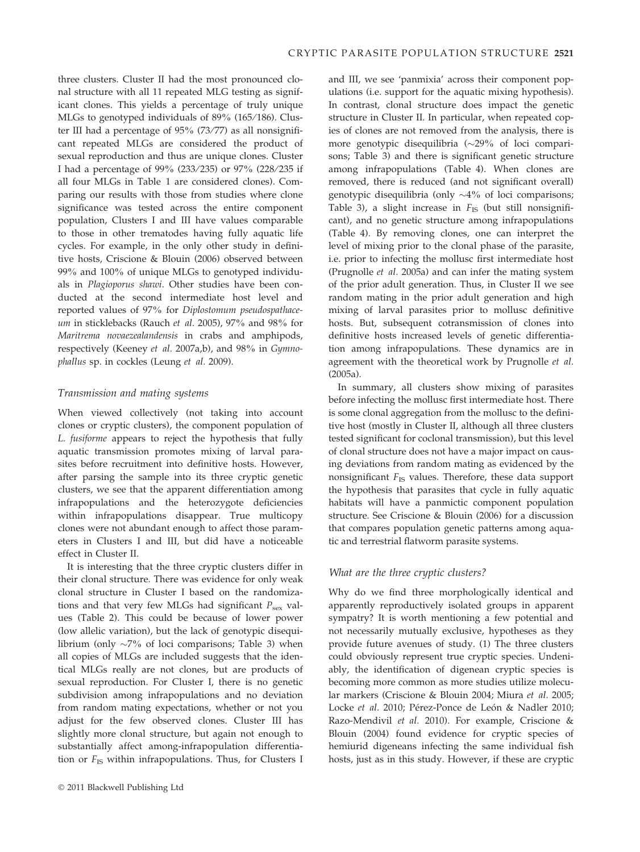three clusters. Cluster II had the most pronounced clonal structure with all 11 repeated MLG testing as significant clones. This yields a percentage of truly unique MLGs to genotyped individuals of 89% (165/186). Cluster III had a percentage of  $95\%$  (73/77) as all nonsignificant repeated MLGs are considered the product of sexual reproduction and thus are unique clones. Cluster I had a percentage of 99% (233/235) or 97% (228/235 if all four MLGs in Table 1 are considered clones). Comparing our results with those from studies where clone significance was tested across the entire component population, Clusters I and III have values comparable to those in other trematodes having fully aquatic life cycles. For example, in the only other study in definitive hosts, Criscione & Blouin (2006) observed between 99% and 100% of unique MLGs to genotyped individuals in Plagioporus shawi. Other studies have been conducted at the second intermediate host level and reported values of 97% for Diplostomum pseudospathaceum in sticklebacks (Rauch et al. 2005), 97% and 98% for Maritrema novaezealandensis in crabs and amphipods, respectively (Keeney et al. 2007a,b), and 98% in Gymnophallus sp. in cockles (Leung et al. 2009).

# Transmission and mating systems

When viewed collectively (not taking into account clones or cryptic clusters), the component population of L. fusiforme appears to reject the hypothesis that fully aquatic transmission promotes mixing of larval parasites before recruitment into definitive hosts. However, after parsing the sample into its three cryptic genetic clusters, we see that the apparent differentiation among infrapopulations and the heterozygote deficiencies within infrapopulations disappear. True multicopy clones were not abundant enough to affect those parameters in Clusters I and III, but did have a noticeable effect in Cluster II.

It is interesting that the three cryptic clusters differ in their clonal structure. There was evidence for only weak clonal structure in Cluster I based on the randomizations and that very few MLGs had significant  $P_{\text{sex}}$  values (Table 2). This could be because of lower power (low allelic variation), but the lack of genotypic disequilibrium (only  $\sim$ 7% of loci comparisons; Table 3) when all copies of MLGs are included suggests that the identical MLGs really are not clones, but are products of sexual reproduction. For Cluster I, there is no genetic subdivision among infrapopulations and no deviation from random mating expectations, whether or not you adjust for the few observed clones. Cluster III has slightly more clonal structure, but again not enough to substantially affect among-infrapopulation differentiation or F<sub>IS</sub> within infrapopulations. Thus, for Clusters I and III, we see 'panmixia' across their component populations (i.e. support for the aquatic mixing hypothesis). In contrast, clonal structure does impact the genetic structure in Cluster II. In particular, when repeated copies of clones are not removed from the analysis, there is more genotypic disequilibria  $(\sim29\%$  of loci comparisons; Table 3) and there is significant genetic structure among infrapopulations (Table 4). When clones are removed, there is reduced (and not significant overall) genotypic disequilibria (only  $\sim$ 4% of loci comparisons; Table 3), a slight increase in  $F_{\text{IS}}$  (but still nonsignificant), and no genetic structure among infrapopulations (Table 4). By removing clones, one can interpret the level of mixing prior to the clonal phase of the parasite, i.e. prior to infecting the mollusc first intermediate host (Prugnolle et al. 2005a) and can infer the mating system of the prior adult generation. Thus, in Cluster II we see random mating in the prior adult generation and high mixing of larval parasites prior to mollusc definitive hosts. But, subsequent cotransmission of clones into definitive hosts increased levels of genetic differentiation among infrapopulations. These dynamics are in agreement with the theoretical work by Prugnolle et al. (2005a).

In summary, all clusters show mixing of parasites before infecting the mollusc first intermediate host. There is some clonal aggregation from the mollusc to the definitive host (mostly in Cluster II, although all three clusters tested significant for coclonal transmission), but this level of clonal structure does not have a major impact on causing deviations from random mating as evidenced by the nonsignificant  $F_{\text{IS}}$  values. Therefore, these data support the hypothesis that parasites that cycle in fully aquatic habitats will have a panmictic component population structure. See Criscione & Blouin (2006) for a discussion that compares population genetic patterns among aquatic and terrestrial flatworm parasite systems.

#### What are the three cryptic clusters?

Why do we find three morphologically identical and apparently reproductively isolated groups in apparent sympatry? It is worth mentioning a few potential and not necessarily mutually exclusive, hypotheses as they provide future avenues of study. (1) The three clusters could obviously represent true cryptic species. Undeniably, the identification of digenean cryptic species is becoming more common as more studies utilize molecular markers (Criscione & Blouin 2004; Miura et al. 2005; Locke et al. 2010; Pérez-Ponce de León & Nadler 2010; Razo-Mendivil et al. 2010). For example, Criscione & Blouin (2004) found evidence for cryptic species of hemiurid digeneans infecting the same individual fish hosts, just as in this study. However, if these are cryptic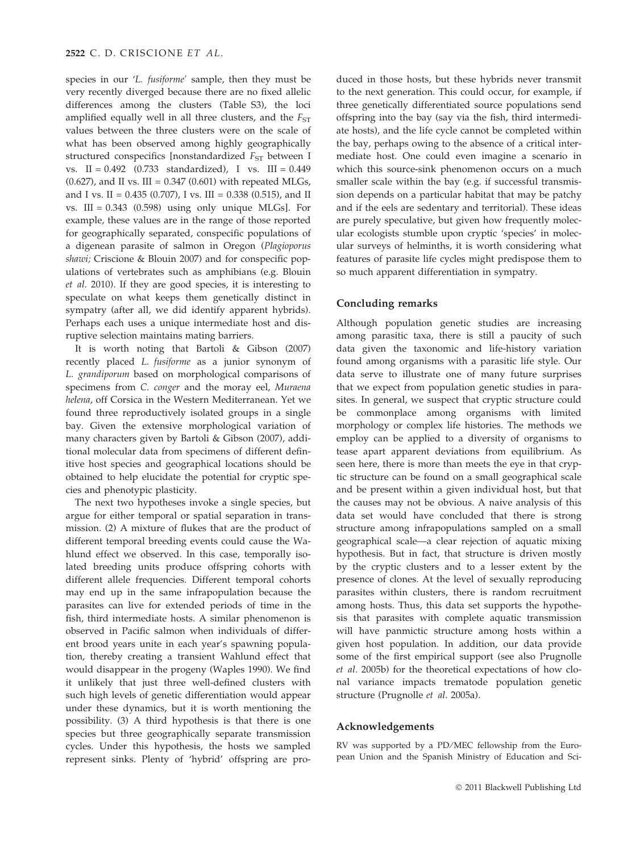species in our 'L. fusiforme' sample, then they must be very recently diverged because there are no fixed allelic differences among the clusters (Table S3), the loci amplified equally well in all three clusters, and the  $F_{ST}$ values between the three clusters were on the scale of what has been observed among highly geographically structured conspecifics [nonstandardized  $F_{ST}$  between I vs. II = 0.492 (0.733 standardized), I vs. III = 0.449  $(0.627)$ , and II vs. III = 0.347  $(0.601)$  with repeated MLGs, and I vs. II =  $0.435$  (0.707), I vs. III =  $0.338$  (0.515), and II vs. III =  $0.343$  (0.598) using only unique MLGs]. For example, these values are in the range of those reported for geographically separated, conspecific populations of a digenean parasite of salmon in Oregon (Plagioporus shawi; Criscione & Blouin 2007) and for conspecific populations of vertebrates such as amphibians (e.g. Blouin et al. 2010). If they are good species, it is interesting to speculate on what keeps them genetically distinct in sympatry (after all, we did identify apparent hybrids). Perhaps each uses a unique intermediate host and disruptive selection maintains mating barriers.

It is worth noting that Bartoli & Gibson (2007) recently placed L. fusiforme as a junior synonym of L. grandiporum based on morphological comparisons of specimens from C. conger and the moray eel, Muraena helena, off Corsica in the Western Mediterranean. Yet we found three reproductively isolated groups in a single bay. Given the extensive morphological variation of many characters given by Bartoli & Gibson (2007), additional molecular data from specimens of different definitive host species and geographical locations should be obtained to help elucidate the potential for cryptic species and phenotypic plasticity.

The next two hypotheses invoke a single species, but argue for either temporal or spatial separation in transmission. (2) A mixture of flukes that are the product of different temporal breeding events could cause the Wahlund effect we observed. In this case, temporally isolated breeding units produce offspring cohorts with different allele frequencies. Different temporal cohorts may end up in the same infrapopulation because the parasites can live for extended periods of time in the fish, third intermediate hosts. A similar phenomenon is observed in Pacific salmon when individuals of different brood years unite in each year's spawning population, thereby creating a transient Wahlund effect that would disappear in the progeny (Waples 1990). We find it unlikely that just three well-defined clusters with such high levels of genetic differentiation would appear under these dynamics, but it is worth mentioning the possibility. (3) A third hypothesis is that there is one species but three geographically separate transmission cycles. Under this hypothesis, the hosts we sampled represent sinks. Plenty of 'hybrid' offspring are produced in those hosts, but these hybrids never transmit to the next generation. This could occur, for example, if three genetically differentiated source populations send offspring into the bay (say via the fish, third intermediate hosts), and the life cycle cannot be completed within the bay, perhaps owing to the absence of a critical intermediate host. One could even imagine a scenario in which this source-sink phenomenon occurs on a much smaller scale within the bay (e.g. if successful transmission depends on a particular habitat that may be patchy and if the eels are sedentary and territorial). These ideas are purely speculative, but given how frequently molecular ecologists stumble upon cryptic 'species' in molecular surveys of helminths, it is worth considering what features of parasite life cycles might predispose them to so much apparent differentiation in sympatry.

## Concluding remarks

Although population genetic studies are increasing among parasitic taxa, there is still a paucity of such data given the taxonomic and life-history variation found among organisms with a parasitic life style. Our data serve to illustrate one of many future surprises that we expect from population genetic studies in parasites. In general, we suspect that cryptic structure could be commonplace among organisms with limited morphology or complex life histories. The methods we employ can be applied to a diversity of organisms to tease apart apparent deviations from equilibrium. As seen here, there is more than meets the eye in that cryptic structure can be found on a small geographical scale and be present within a given individual host, but that the causes may not be obvious. A naive analysis of this data set would have concluded that there is strong structure among infrapopulations sampled on a small geographical scale—a clear rejection of aquatic mixing hypothesis. But in fact, that structure is driven mostly by the cryptic clusters and to a lesser extent by the presence of clones. At the level of sexually reproducing parasites within clusters, there is random recruitment among hosts. Thus, this data set supports the hypothesis that parasites with complete aquatic transmission will have panmictic structure among hosts within a given host population. In addition, our data provide some of the first empirical support (see also Prugnolle et al. 2005b) for the theoretical expectations of how clonal variance impacts trematode population genetic structure (Prugnolle et al. 2005a).

#### Acknowledgements

RV was supported by a PD/MEC fellowship from the European Union and the Spanish Ministry of Education and Sci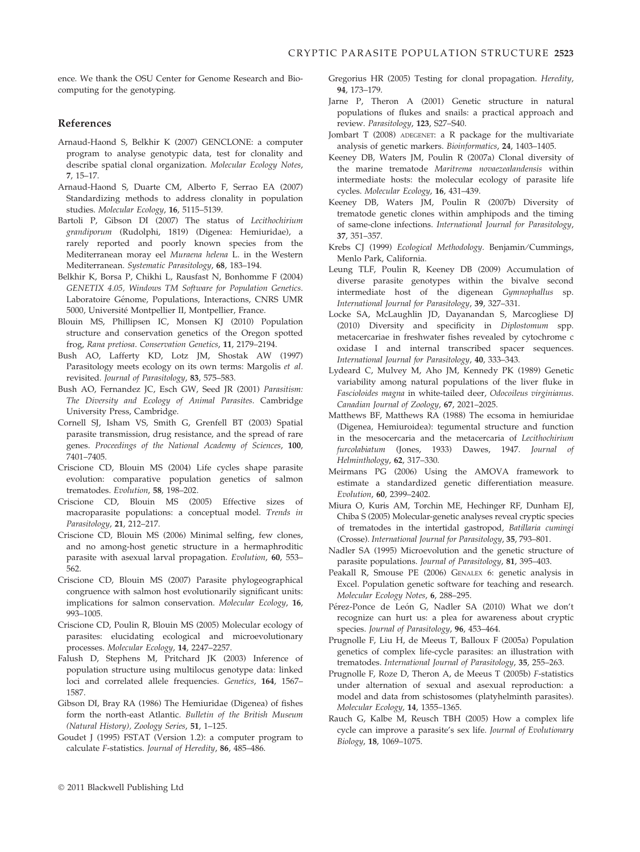ence. We thank the OSU Center for Genome Research and Biocomputing for the genotyping.

#### References

- Arnaud-Haond S, Belkhir K (2007) GENCLONE: a computer program to analyse genotypic data, test for clonality and describe spatial clonal organization. Molecular Ecology Notes, 7, 15–17.
- Arnaud-Haond S, Duarte CM, Alberto F, Serrao EA (2007) Standardizing methods to address clonality in population studies. Molecular Ecology, 16, 5115–5139.
- Bartoli P, Gibson DI (2007) The status of Lecithochirium grandiporum (Rudolphi, 1819) (Digenea: Hemiuridae), a rarely reported and poorly known species from the Mediterranean moray eel Muraena helena L. in the Western Mediterranean. Systematic Parasitology, 68, 183–194.
- Belkhir K, Borsa P, Chikhi L, Rausfast N, Bonhomme F (2004) GENETIX 4.05, Windows TM Software for Population Genetics. Laboratoire Génome, Populations, Interactions, CNRS UMR 5000, Université Montpellier II, Montpellier, France.
- Blouin MS, Phillipsen IC, Monsen KJ (2010) Population structure and conservation genetics of the Oregon spotted frog, Rana pretiosa. Conservation Genetics, 11, 2179–2194.
- Bush AO, Lafferty KD, Lotz JM, Shostak AW (1997) Parasitology meets ecology on its own terms: Margolis et al. revisited. Journal of Parasitology, 83, 575–583.
- Bush AO, Fernandez JC, Esch GW, Seed JR (2001) Parasitism: The Diversity and Ecology of Animal Parasites. Cambridge University Press, Cambridge.
- Cornell SJ, Isham VS, Smith G, Grenfell BT (2003) Spatial parasite transmission, drug resistance, and the spread of rare genes. Proceedings of the National Academy of Sciences, 100, 7401–7405.
- Criscione CD, Blouin MS (2004) Life cycles shape parasite evolution: comparative population genetics of salmon trematodes. Evolution, 58, 198–202.
- Criscione CD, Blouin MS (2005) Effective sizes of macroparasite populations: a conceptual model. Trends in Parasitology, 21, 212–217.
- Criscione CD, Blouin MS (2006) Minimal selfing, few clones, and no among-host genetic structure in a hermaphroditic parasite with asexual larval propagation. Evolution, 60, 553– 562.
- Criscione CD, Blouin MS (2007) Parasite phylogeographical congruence with salmon host evolutionarily significant units: implications for salmon conservation. Molecular Ecology, 16, 993–1005.
- Criscione CD, Poulin R, Blouin MS (2005) Molecular ecology of parasites: elucidating ecological and microevolutionary processes. Molecular Ecology, 14, 2247–2257.
- Falush D, Stephens M, Pritchard JK (2003) Inference of population structure using multilocus genotype data: linked loci and correlated allele frequencies. Genetics, 164, 1567– 1587.
- Gibson DI, Bray RA (1986) The Hemiuridae (Digenea) of fishes form the north-east Atlantic. Bulletin of the British Museum (Natural History), Zoology Series, 51, 1–125.
- Goudet J (1995) FSTAT (Version 1.2): a computer program to calculate F-statistics. Journal of Heredity, 86, 485–486.
- Gregorius HR (2005) Testing for clonal propagation. Heredity, 94, 173–179.
- Jarne P, Theron A (2001) Genetic structure in natural populations of flukes and snails: a practical approach and review. Parasitology, 123, S27–S40.
- Jombart T (2008) ADEGENET: a R package for the multivariate analysis of genetic markers. Bioinformatics, 24, 1403–1405.
- Keeney DB, Waters JM, Poulin R (2007a) Clonal diversity of the marine trematode Maritrema novaezealandensis within intermediate hosts: the molecular ecology of parasite life cycles. Molecular Ecology, 16, 431–439.
- Keeney DB, Waters JM, Poulin R (2007b) Diversity of trematode genetic clones within amphipods and the timing of same-clone infections. International Journal for Parasitology, 37, 351–357.
- Krebs CJ (1999) Ecological Methodology. Benjamin/Cummings, Menlo Park, California.
- Leung TLF, Poulin R, Keeney DB (2009) Accumulation of diverse parasite genotypes within the bivalve second intermediate host of the digenean Gymnophallus sp. International Journal for Parasitology, 39, 327–331.
- Locke SA, McLaughlin JD, Dayanandan S, Marcogliese DJ (2010) Diversity and specificity in Diplostomum spp. metacercariae in freshwater fishes revealed by cytochrome c oxidase I and internal transcribed spacer sequences. International Journal for Parasitology, 40, 333–343.
- Lydeard C, Mulvey M, Aho JM, Kennedy PK (1989) Genetic variability among natural populations of the liver fluke in Fascioloides magna in white-tailed deer, Odocoileus virginianus. Canadian Journal of Zoology, 67, 2021–2025.
- Matthews BF, Matthews RA (1988) The ecsoma in hemiuridae (Digenea, Hemiuroidea): tegumental structure and function in the mesocercaria and the metacercaria of Lecithochirium furcolabiatum (Jones, 1933) Dawes, 1947. Journal of Helminthology, 62, 317–330.
- Meirmans PG (2006) Using the AMOVA framework to estimate a standardized genetic differentiation measure. Evolution, 60, 2399–2402.
- Miura O, Kuris AM, Torchin ME, Hechinger RF, Dunham EJ, Chiba S (2005) Molecular-genetic analyses reveal cryptic species of trematodes in the intertidal gastropod, Batillaria cumingi (Crosse). International Journal for Parasitology, 35, 793–801.
- Nadler SA (1995) Microevolution and the genetic structure of parasite populations. Journal of Parasitology, 81, 395–403.
- Peakall R, Smouse PE (2006) GENALEX 6: genetic analysis in Excel. Population genetic software for teaching and research. Molecular Ecology Notes, 6, 288–295.
- Pérez-Ponce de León G, Nadler SA (2010) What we don't recognize can hurt us: a plea for awareness about cryptic species. Journal of Parasitology, 96, 453–464.
- Prugnolle F, Liu H, de Meeus T, Balloux F (2005a) Population genetics of complex life-cycle parasites: an illustration with trematodes. International Journal of Parasitology, 35, 255–263.
- Prugnolle F, Roze D, Theron A, de Meeus T (2005b) F-statistics under alternation of sexual and asexual reproduction: a model and data from schistosomes (platyhelminth parasites). Molecular Ecology, 14, 1355–1365.
- Rauch G, Kalbe M, Reusch TBH (2005) How a complex life cycle can improve a parasite's sex life. Journal of Evolutionary Biology, 18, 1069–1075.